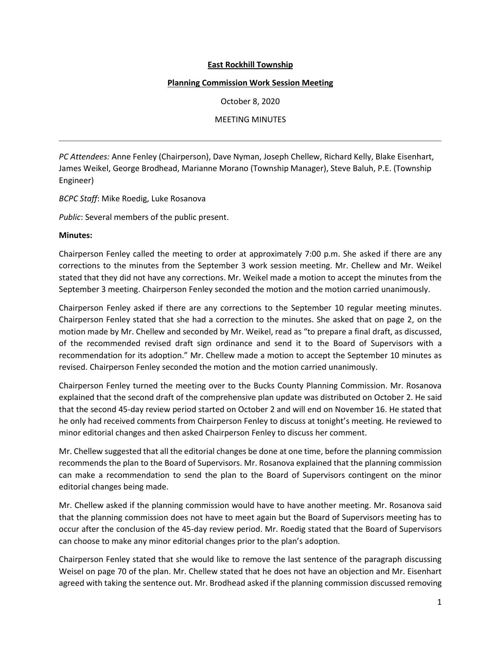## **East Rockhill Township**

## **Planning Commission Work Session Meeting**

October 8, 2020

MEETING MINUTES

*PC Attendees:* Anne Fenley (Chairperson), Dave Nyman, Joseph Chellew, Richard Kelly, Blake Eisenhart, James Weikel, George Brodhead, Marianne Morano (Township Manager), Steve Baluh, P.E. (Township Engineer)

*BCPC Staff*: Mike Roedig, Luke Rosanova

*Public*: Several members of the public present.

## **Minutes:**

Chairperson Fenley called the meeting to order at approximately 7:00 p.m. She asked if there are any corrections to the minutes from the September 3 work session meeting. Mr. Chellew and Mr. Weikel stated that they did not have any corrections. Mr. Weikel made a motion to accept the minutes from the September 3 meeting. Chairperson Fenley seconded the motion and the motion carried unanimously.

Chairperson Fenley asked if there are any corrections to the September 10 regular meeting minutes. Chairperson Fenley stated that she had a correction to the minutes. She asked that on page 2, on the motion made by Mr. Chellew and seconded by Mr. Weikel, read as "to prepare a final draft, as discussed, of the recommended revised draft sign ordinance and send it to the Board of Supervisors with a recommendation for its adoption." Mr. Chellew made a motion to accept the September 10 minutes as revised. Chairperson Fenley seconded the motion and the motion carried unanimously.

Chairperson Fenley turned the meeting over to the Bucks County Planning Commission. Mr. Rosanova explained that the second draft of the comprehensive plan update was distributed on October 2. He said that the second 45-day review period started on October 2 and will end on November 16. He stated that he only had received comments from Chairperson Fenley to discuss at tonight's meeting. He reviewed to minor editorial changes and then asked Chairperson Fenley to discuss her comment.

Mr. Chellew suggested that all the editorial changes be done at one time, before the planning commission recommends the plan to the Board of Supervisors. Mr. Rosanova explained that the planning commission can make a recommendation to send the plan to the Board of Supervisors contingent on the minor editorial changes being made.

Mr. Chellew asked if the planning commission would have to have another meeting. Mr. Rosanova said that the planning commission does not have to meet again but the Board of Supervisors meeting has to occur after the conclusion of the 45-day review period. Mr. Roedig stated that the Board of Supervisors can choose to make any minor editorial changes prior to the plan's adoption.

Chairperson Fenley stated that she would like to remove the last sentence of the paragraph discussing Weisel on page 70 of the plan. Mr. Chellew stated that he does not have an objection and Mr. Eisenhart agreed with taking the sentence out. Mr. Brodhead asked if the planning commission discussed removing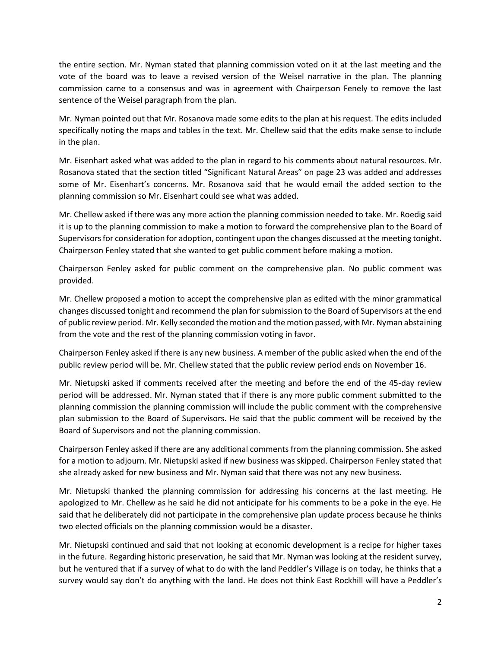the entire section. Mr. Nyman stated that planning commission voted on it at the last meeting and the vote of the board was to leave a revised version of the Weisel narrative in the plan. The planning commission came to a consensus and was in agreement with Chairperson Fenely to remove the last sentence of the Weisel paragraph from the plan.

Mr. Nyman pointed out that Mr. Rosanova made some edits to the plan at his request. The edits included specifically noting the maps and tables in the text. Mr. Chellew said that the edits make sense to include in the plan.

Mr. Eisenhart asked what was added to the plan in regard to his comments about natural resources. Mr. Rosanova stated that the section titled "Significant Natural Areas" on page 23 was added and addresses some of Mr. Eisenhart's concerns. Mr. Rosanova said that he would email the added section to the planning commission so Mr. Eisenhart could see what was added.

Mr. Chellew asked if there was any more action the planning commission needed to take. Mr. Roedig said it is up to the planning commission to make a motion to forward the comprehensive plan to the Board of Supervisors for consideration for adoption, contingent upon the changes discussed at the meeting tonight. Chairperson Fenley stated that she wanted to get public comment before making a motion.

Chairperson Fenley asked for public comment on the comprehensive plan. No public comment was provided.

Mr. Chellew proposed a motion to accept the comprehensive plan as edited with the minor grammatical changes discussed tonight and recommend the plan for submission to the Board of Supervisors at the end of public review period. Mr. Kelly seconded the motion and the motion passed, with Mr. Nyman abstaining from the vote and the rest of the planning commission voting in favor.

Chairperson Fenley asked if there is any new business. A member of the public asked when the end of the public review period will be. Mr. Chellew stated that the public review period ends on November 16.

Mr. Nietupski asked if comments received after the meeting and before the end of the 45-day review period will be addressed. Mr. Nyman stated that if there is any more public comment submitted to the planning commission the planning commission will include the public comment with the comprehensive plan submission to the Board of Supervisors. He said that the public comment will be received by the Board of Supervisors and not the planning commission.

Chairperson Fenley asked if there are any additional comments from the planning commission. She asked for a motion to adjourn. Mr. Nietupski asked if new business was skipped. Chairperson Fenley stated that she already asked for new business and Mr. Nyman said that there was not any new business.

Mr. Nietupski thanked the planning commission for addressing his concerns at the last meeting. He apologized to Mr. Chellew as he said he did not anticipate for his comments to be a poke in the eye. He said that he deliberately did not participate in the comprehensive plan update process because he thinks two elected officials on the planning commission would be a disaster.

Mr. Nietupski continued and said that not looking at economic development is a recipe for higher taxes in the future. Regarding historic preservation, he said that Mr. Nyman was looking at the resident survey, but he ventured that if a survey of what to do with the land Peddler's Village is on today, he thinks that a survey would say don't do anything with the land. He does not think East Rockhill will have a Peddler's